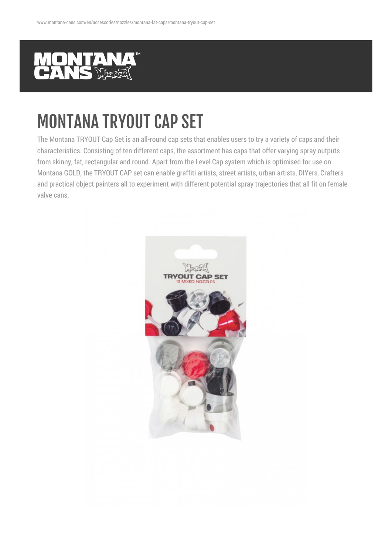

## MONTANA TRYOUT CAP SET

The Montana TRYOUT Cap Set is an all-round cap sets that enables users to try a variety of caps and their characteristics. Consisting of ten different caps, the assortment has caps that offer varying spray outputs from skinny, fat, rectangular and round. Apart from the Level Cap system which is optimised for use on Montana GOLD, the TRYOUT CAP set can enable graffiti artists, street artists, urban artists, DIYers, Crafters and practical object painters all to experiment with different potential spray trajectories that all fit on female valve cans.